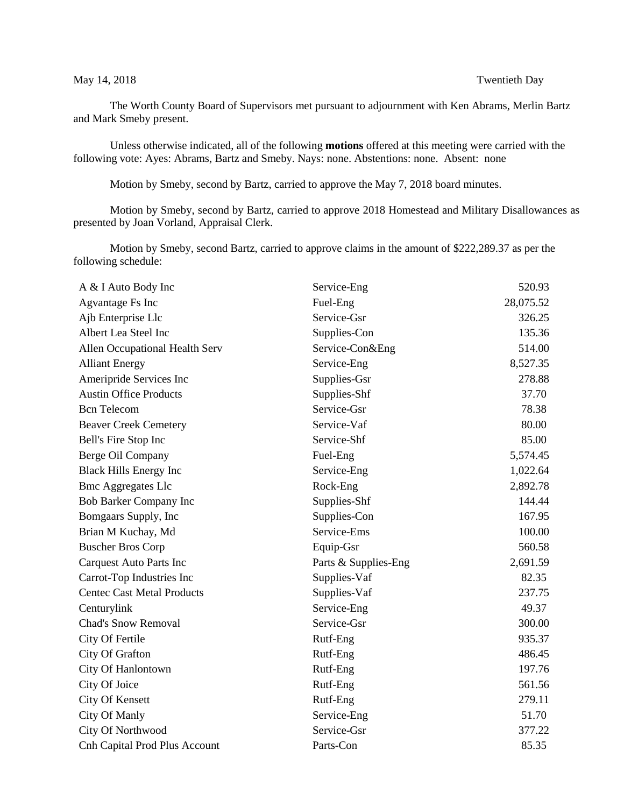The Worth County Board of Supervisors met pursuant to adjournment with Ken Abrams, Merlin Bartz and Mark Smeby present.

Unless otherwise indicated, all of the following **motions** offered at this meeting were carried with the following vote: Ayes: Abrams, Bartz and Smeby. Nays: none. Abstentions: none. Absent: none

Motion by Smeby, second by Bartz, carried to approve the May 7, 2018 board minutes.

Motion by Smeby, second by Bartz, carried to approve 2018 Homestead and Military Disallowances as presented by Joan Vorland, Appraisal Clerk.

Motion by Smeby, second Bartz, carried to approve claims in the amount of \$222,289.37 as per the following schedule:

| A & I Auto Body Inc                  | Service-Eng          | 520.93    |
|--------------------------------------|----------------------|-----------|
| Agvantage Fs Inc                     | Fuel-Eng             | 28,075.52 |
| Ajb Enterprise Llc                   | Service-Gsr          | 326.25    |
| Albert Lea Steel Inc                 | Supplies-Con         | 135.36    |
| Allen Occupational Health Serv       | Service-Con&Eng      | 514.00    |
| <b>Alliant Energy</b>                | Service-Eng          | 8,527.35  |
| Ameripride Services Inc              | Supplies-Gsr         | 278.88    |
| <b>Austin Office Products</b>        | Supplies-Shf         | 37.70     |
| <b>Bcn</b> Telecom                   | Service-Gsr          | 78.38     |
| <b>Beaver Creek Cemetery</b>         | Service-Vaf          | 80.00     |
| Bell's Fire Stop Inc                 | Service-Shf          | 85.00     |
| Berge Oil Company                    | Fuel-Eng             | 5,574.45  |
| <b>Black Hills Energy Inc</b>        | Service-Eng          | 1,022.64  |
| <b>Bmc Aggregates Llc</b>            | Rock-Eng             | 2,892.78  |
| Bob Barker Company Inc               | Supplies-Shf         | 144.44    |
| Bomgaars Supply, Inc                 | Supplies-Con         | 167.95    |
| Brian M Kuchay, Md                   | Service-Ems          | 100.00    |
| <b>Buscher Bros Corp</b>             | Equip-Gsr            | 560.58    |
| <b>Carquest Auto Parts Inc</b>       | Parts & Supplies-Eng | 2,691.59  |
| Carrot-Top Industries Inc            | Supplies-Vaf         | 82.35     |
| <b>Centec Cast Metal Products</b>    | Supplies-Vaf         | 237.75    |
| Centurylink                          | Service-Eng          | 49.37     |
| Chad's Snow Removal                  | Service-Gsr          | 300.00    |
| City Of Fertile                      | Rutf-Eng             | 935.37    |
| City Of Grafton                      | Rutf-Eng             | 486.45    |
| City Of Hanlontown                   | Rutf-Eng             | 197.76    |
| City Of Joice                        | Rutf-Eng             | 561.56    |
| City Of Kensett                      | Rutf-Eng             | 279.11    |
| City Of Manly                        | Service-Eng          | 51.70     |
| City Of Northwood                    | Service-Gsr          | 377.22    |
| <b>Cnh Capital Prod Plus Account</b> | Parts-Con            | 85.35     |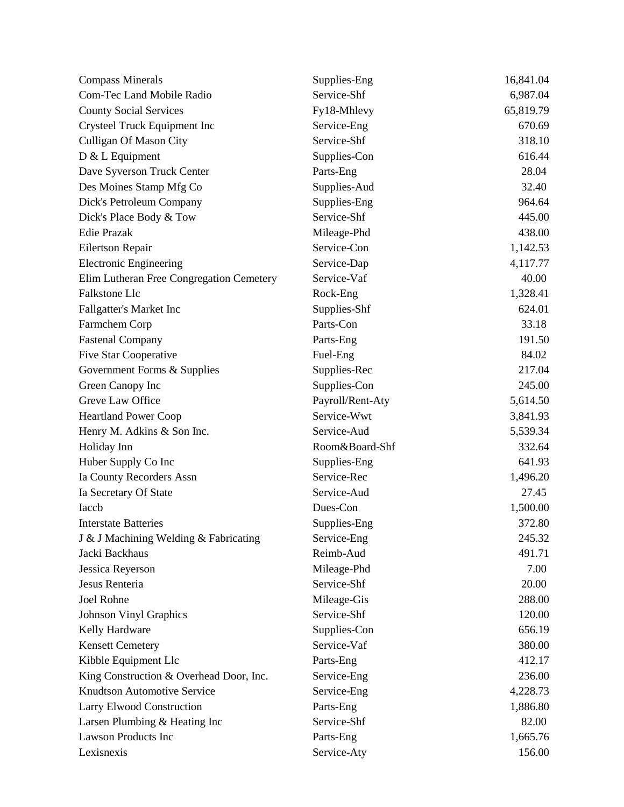| <b>Compass Minerals</b>                  | Supplies-Eng     | 16,841.04 |
|------------------------------------------|------------------|-----------|
| Com-Tec Land Mobile Radio                | Service-Shf      | 6,987.04  |
| <b>County Social Services</b>            | Fy18-Mhlevy      | 65,819.79 |
| Crysteel Truck Equipment Inc             | Service-Eng      | 670.69    |
| <b>Culligan Of Mason City</b>            | Service-Shf      | 318.10    |
| D & L Equipment                          | Supplies-Con     | 616.44    |
| Dave Syverson Truck Center               | Parts-Eng        | 28.04     |
| Des Moines Stamp Mfg Co                  | Supplies-Aud     | 32.40     |
| Dick's Petroleum Company                 | Supplies-Eng     | 964.64    |
| Dick's Place Body & Tow                  | Service-Shf      | 445.00    |
| <b>Edie Prazak</b>                       | Mileage-Phd      | 438.00    |
| Eilertson Repair                         | Service-Con      | 1,142.53  |
| <b>Electronic Engineering</b>            | Service-Dap      | 4,117.77  |
| Elim Lutheran Free Congregation Cemetery | Service-Vaf      | 40.00     |
| Falkstone Llc                            | Rock-Eng         | 1,328.41  |
| Fallgatter's Market Inc                  | Supplies-Shf     | 624.01    |
| Farmchem Corp                            | Parts-Con        | 33.18     |
| <b>Fastenal Company</b>                  | Parts-Eng        | 191.50    |
| Five Star Cooperative                    | Fuel-Eng         | 84.02     |
| Government Forms & Supplies              | Supplies-Rec     | 217.04    |
| Green Canopy Inc                         | Supplies-Con     | 245.00    |
| Greve Law Office                         | Payroll/Rent-Aty | 5,614.50  |
| <b>Heartland Power Coop</b>              | Service-Wwt      | 3,841.93  |
| Henry M. Adkins & Son Inc.               | Service-Aud      | 5,539.34  |
| Holiday Inn                              | Room&Board-Shf   | 332.64    |
| Huber Supply Co Inc                      | Supplies-Eng     | 641.93    |
| Ia County Recorders Assn                 | Service-Rec      | 1,496.20  |
| Ia Secretary Of State                    | Service-Aud      | 27.45     |
| Iaccb                                    | Dues-Con         | 1,500.00  |
| <b>Interstate Batteries</b>              | Supplies-Eng     | 372.80    |
| J & J Machining Welding & Fabricating    | Service-Eng      | 245.32    |
| Jacki Backhaus                           | Reimb-Aud        | 491.71    |
| Jessica Reyerson                         | Mileage-Phd      | 7.00      |
| Jesus Renteria                           | Service-Shf      | 20.00     |
| Joel Rohne                               | Mileage-Gis      | 288.00    |
| <b>Johnson Vinyl Graphics</b>            | Service-Shf      | 120.00    |
| Kelly Hardware                           | Supplies-Con     | 656.19    |
| <b>Kensett Cemetery</b>                  | Service-Vaf      | 380.00    |
| Kibble Equipment Llc                     | Parts-Eng        | 412.17    |
| King Construction & Overhead Door, Inc.  | Service-Eng      | 236.00    |
| <b>Knudtson Automotive Service</b>       | Service-Eng      | 4,228.73  |
| Larry Elwood Construction                | Parts-Eng        | 1,886.80  |
| Larsen Plumbing & Heating Inc            | Service-Shf      | 82.00     |
| <b>Lawson Products Inc</b>               | Parts-Eng        | 1,665.76  |
| Lexisnexis                               | Service-Aty      | 156.00    |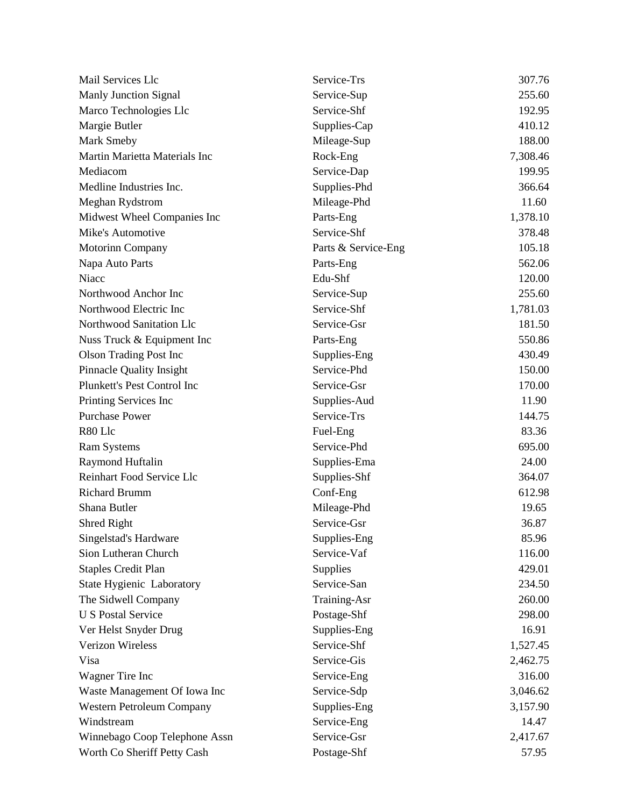| Mail Services Llc                | Service-Trs         | 307.76   |
|----------------------------------|---------------------|----------|
| <b>Manly Junction Signal</b>     | Service-Sup         | 255.60   |
| Marco Technologies Llc           | Service-Shf         | 192.95   |
| Margie Butler                    | Supplies-Cap        | 410.12   |
| Mark Smeby                       | Mileage-Sup         | 188.00   |
| Martin Marietta Materials Inc    | Rock-Eng            | 7,308.46 |
| Mediacom                         | Service-Dap         | 199.95   |
| Medline Industries Inc.          | Supplies-Phd        | 366.64   |
| Meghan Rydstrom                  | Mileage-Phd         | 11.60    |
| Midwest Wheel Companies Inc      | Parts-Eng           | 1,378.10 |
| Mike's Automotive                | Service-Shf         | 378.48   |
| <b>Motorinn Company</b>          | Parts & Service-Eng | 105.18   |
| Napa Auto Parts                  | Parts-Eng           | 562.06   |
| Niacc                            | Edu-Shf             | 120.00   |
| Northwood Anchor Inc             | Service-Sup         | 255.60   |
| Northwood Electric Inc           | Service-Shf         | 1,781.03 |
| Northwood Sanitation Llc         | Service-Gsr         | 181.50   |
| Nuss Truck & Equipment Inc       | Parts-Eng           | 550.86   |
| <b>Olson Trading Post Inc</b>    | Supplies-Eng        | 430.49   |
| <b>Pinnacle Quality Insight</b>  | Service-Phd         | 150.00   |
| Plunkett's Pest Control Inc      | Service-Gsr         | 170.00   |
| Printing Services Inc            | Supplies-Aud        | 11.90    |
| <b>Purchase Power</b>            | Service-Trs         | 144.75   |
| R80 Llc                          | Fuel-Eng            | 83.36    |
| <b>Ram Systems</b>               | Service-Phd         | 695.00   |
| Raymond Huftalin                 | Supplies-Ema        | 24.00    |
| Reinhart Food Service Llc        | Supplies-Shf        | 364.07   |
| <b>Richard Brumm</b>             | Conf-Eng            | 612.98   |
| Shana Butler                     | Mileage-Phd         | 19.65    |
| Shred Right                      | Service-Gsr         | 36.87    |
| Singelstad's Hardware            | Supplies-Eng        | 85.96    |
| Sion Lutheran Church             | Service-Vaf         | 116.00   |
| <b>Staples Credit Plan</b>       | Supplies            | 429.01   |
| <b>State Hygienic Laboratory</b> | Service-San         | 234.50   |
| The Sidwell Company              | Training-Asr        | 260.00   |
| <b>U S Postal Service</b>        | Postage-Shf         | 298.00   |
| Ver Helst Snyder Drug            | Supplies-Eng        | 16.91    |
| <b>Verizon Wireless</b>          | Service-Shf         | 1,527.45 |
| Visa                             | Service-Gis         | 2,462.75 |
| Wagner Tire Inc                  | Service-Eng         | 316.00   |
| Waste Management Of Iowa Inc     | Service-Sdp         | 3,046.62 |
| Western Petroleum Company        | Supplies-Eng        | 3,157.90 |
| Windstream                       | Service-Eng         | 14.47    |
| Winnebago Coop Telephone Assn    | Service-Gsr         | 2,417.67 |
| Worth Co Sheriff Petty Cash      | Postage-Shf         | 57.95    |